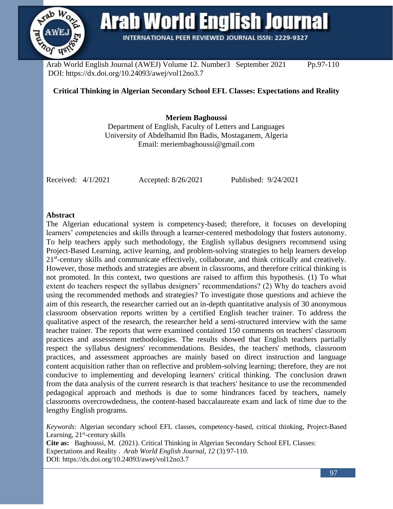

Arab World English Journal (AWEJ) Volume 12. Number3 September 2021 Pp.97-110 DOI: https://dx.doi.org/10.24093/awej/vol12no3.7

# **Critical Thinking in Algerian Secondary School EFL Classes: Expectations and Reality**

**INTERNATIONAL PEER REVIEWED JOURNAL ISSN: 2229-9327** 

**Meriem Baghoussi**

Department of English, Faculty of Letters and Languages University of Abdelhamid Ibn Badis, Mostaganem, Algeria Email: meriembaghoussi@gmail.com

Received: 4/1/2021 Accepted: 8/26/2021 Published: 9/24/2021

## **Abstract**

The Algerian educational system is competency-based; therefore, it focuses on developing learners' competencies and skills through a learner-centered methodology that fosters autonomy. To help teachers apply such methodology, the English syllabus designers recommend using Project-Based Learning, active learning, and problem-solving strategies to help learners develop 21<sup>st</sup>-century skills and communicate effectively, collaborate, and think critically and creatively. However, those methods and strategies are absent in classrooms, and therefore critical thinking is not promoted. In this context, two questions are raised to affirm this hypothesis. (1) To what extent do teachers respect the syllabus designers' recommendations? (2) Why do teachers avoid using the recommended methods and strategies? To investigate those questions and achieve the aim of this research, the researcher carried out an in-depth quantitative analysis of 30 anonymous classroom observation reports written by a certified English teacher trainer. To address the qualitative aspect of the research, the researcher held a semi-structured interview with the same teacher trainer. The reports that were examined contained 150 comments on teachers' classroom practices and assessment methodologies. The results showed that English teachers partially respect the syllabus designers' recommendations. Besides, the teachers' methods, classroom practices, and assessment approaches are mainly based on direct instruction and language content acquisition rather than on reflective and problem-solving learning; therefore, they are not conducive to implementing and developing learners' critical thinking. The conclusion drawn from the data analysis of the current research is that teachers' hesitance to use the recommended pedagogical approach and methods is due to some hindrances faced by teachers, namely classrooms overcrowdedness, the content-based baccalaureate exam and lack of time due to the lengthy English programs.

*Keywords:* Algerian secondary school EFL classes, competency-based, critical thinking, Project-Based Learning, 21<sup>st</sup>-century skills

**Cite as:** Baghoussi, M. (2021). Critical Thinking in Algerian Secondary School EFL Classes: Expectations and Reality . *Arab World English Journal, 12* (3) 97-110. DOI: https://dx.doi.org/10.24093/awej/vol12no3.7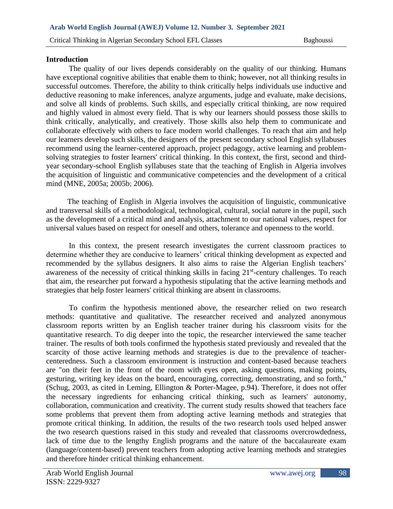# **Introduction**

The quality of our lives depends considerably on the quality of our thinking. Humans have exceptional cognitive abilities that enable them to think; however, not all thinking results in successful outcomes. Therefore, the ability to think critically helps individuals use inductive and deductive reasoning to make inferences, analyze arguments, judge and evaluate, make decisions, and solve all kinds of problems. Such skills, and especially critical thinking, are now required and highly valued in almost every field. That is why our learners should possess those skills to think critically, analytically, and creatively. Those skills also help them to communicate and collaborate effectively with others to face modern world challenges. To reach that aim and help our learners develop such skills, the designers of the present secondary school English syllabuses recommend using the learner-centered approach, project pedagogy, active learning and problemsolving strategies to foster learners' critical thinking. In this context, the first, second and thirdyear secondary-school English syllabuses state that the teaching of English in Algeria involves the acquisition of linguistic and communicative competencies and the development of a critical mind (MNE, 2005a; 2005b; 2006).

 The teaching of English in Algeria involves the acquisition of linguistic, communicative and transversal skills of a methodological, technological, cultural, social nature in the pupil, such as the development of a critical mind and analysis, attachment to our national values, respect for universal values based on respect for oneself and others, tolerance and openness to the world.

In this context, the present research investigates the current classroom practices to determine whether they are conducive to learners' critical thinking development as expected and recommended by the syllabus designers. It also aims to raise the Algerian English teachers' awareness of the necessity of critical thinking skills in facing 21<sup>st</sup>-century challenges. To reach that aim, the researcher put forward a hypothesis stipulating that the active learning methods and strategies that help foster learners' critical thinking are absent in classrooms.

To confirm the hypothesis mentioned above, the researcher relied on two research methods: quantitative and qualitative. The researcher received and analyzed anonymous classroom reports written by an English teacher trainer during his classroom visits for the quantitative research. To dig deeper into the topic, the researcher interviewed the same teacher trainer. The results of both tools confirmed the hypothesis stated previously and revealed that the scarcity of those active learning methods and strategies is due to the prevalence of teachercenteredness. Such a classroom environment is instruction and content-based because teachers are "on their feet in the front of the room with eyes open, asking questions, making points, gesturing, writing key ideas on the board, encouraging, correcting, demonstrating, and so forth," (Schug, 2003, as cited in Leming, Ellington & Porter-Magee, p.94). Therefore, it does not offer the necessary ingredients for enhancing critical thinking, such as learners' autonomy, collaboration, communication and creativity. The current study results showed that teachers face some problems that prevent them from adopting active learning methods and strategies that promote critical thinking. In addition, the results of the two research tools used helped answer the two research questions raised in this study and revealed that classrooms overcrowdedness, lack of time due to the lengthy English programs and the nature of the baccalaureate exam (language/content-based) prevent teachers from adopting active learning methods and strategies and therefore hinder critical thinking enhancement.

98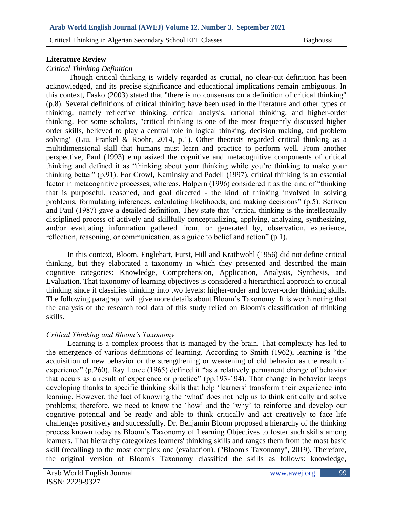# **Literature Review**

# *Critical Thinking Definition*

Though critical thinking is widely regarded as crucial, no clear-cut definition has been acknowledged, and its precise significance and educational implications remain ambiguous. In this context, Fasko (2003) stated that "there is no consensus on a definition of critical thinking" (p.8). Several definitions of critical thinking have been used in the literature and other types of thinking, namely reflective thinking, critical analysis, rational thinking, and higher-order thinking. For some scholars, "critical thinking is one of the most frequently discussed higher order skills, believed to play a central role in logical thinking, decision making, and problem solving" (Liu, Frankel & Roohr, 2014, p.1). Other theorists regarded critical thinking as a multidimensional skill that humans must learn and practice to perform well. From another perspective, Paul (1993) emphasized the cognitive and metacognitive components of critical thinking and defined it as "thinking about your thinking while you're thinking to make your thinking better" (p.91). For Crowl, Kaminsky and Podell (1997), critical thinking is an essential factor in metacognitive processes; whereas, Halpern (1996) considered it as the kind of "thinking that is purposeful, reasoned, and goal directed - the kind of thinking involved in solving problems, formulating inferences, calculating likelihoods, and making decisions" (p.5). Scriven and Paul (1987) gave a detailed definition. They state that "critical thinking is the intellectually disciplined process of actively and skillfully conceptualizing, applying, analyzing, synthesizing, and/or evaluating information gathered from, or generated by, observation, experience, reflection, reasoning, or communication, as a guide to belief and action" (p.1).

 In this context, Bloom, Englehart, Furst, Hill and Krathwohl (1956) did not define critical thinking, but they elaborated a taxonomy in which they presented and described the main cognitive categories: Knowledge, Comprehension, Application, Analysis, Synthesis, and Evaluation. That taxonomy of learning objectives is considered a hierarchical approach to critical thinking since it classifies thinking into two levels: higher-order and lower-order thinking skills. The following paragraph will give more details about Bloom's Taxonomy. It is worth noting that the analysis of the research tool data of this study relied on Bloom's classification of thinking skills.

# *Critical Thinking and Bloom's Taxonomy*

 Learning is a complex process that is managed by the brain. That complexity has led to the emergence of various definitions of learning. According to Smith (1962), learning is "the acquisition of new behavior or the strengthening or weakening of old behavior as the result of experience" (p.260). Ray Loree (1965) defined it "as a relatively permanent change of behavior that occurs as a result of experience or practice" (pp.193-194). That change in behavior keeps developing thanks to specific thinking skills that help 'learners' transform their experience into learning. However, the fact of knowing the 'what' does not help us to think critically and solve problems; therefore, we need to know the 'how' and the 'why' to reinforce and develop our cognitive potential and be ready and able to think critically and act creatively to face life challenges positively and successfully. Dr. Benjamin Bloom proposed a hierarchy of the thinking process known today as Bloom's Taxonomy of Learning Objectives to foster such skills among learners. That hierarchy categorizes learners' thinking skills and ranges them from the most basic skill (recalling) to the most complex one (evaluation). ("Bloom's Taxonomy", 2019). Therefore, the original version of Bloom's Taxonomy classified the skills as follows: knowledge,

99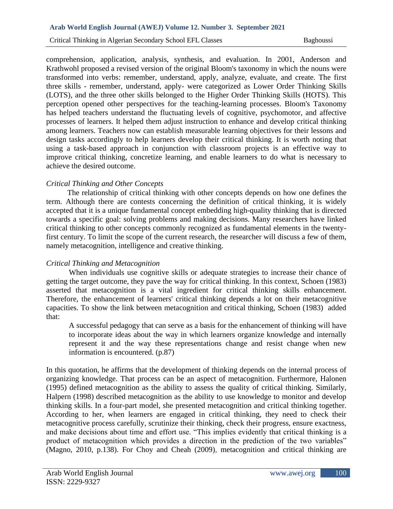#### **Arab World English Journal (AWEJ) Volume 12. Number 3. September 2021**

Critical Thinking in Algerian Secondary School EFL Classes Baghoussi

comprehension, application, analysis, synthesis, and evaluation. In 2001, Anderson and Krathwohl proposed a revised version of the original Bloom's taxonomy in which the nouns were transformed into verbs: remember, understand, apply, analyze, evaluate, and create. The first three skills - remember, understand, apply- were categorized as Lower Order Thinking Skills (LOTS), and the three other skills belonged to the Higher Order Thinking Skills (HOTS). This perception opened other perspectives for the teaching-learning processes. Bloom's Taxonomy has helped teachers understand the fluctuating levels of cognitive, psychomotor, and affective processes of learners. It helped them adjust instruction to enhance and develop critical thinking among learners. Teachers now can establish measurable learning objectives for their lessons and design tasks accordingly to help learners develop their critical thinking. It is worth noting that using a task-based approach in conjunction with classroom projects is an effective way to improve critical thinking, concretize learning, and enable learners to do what is necessary to achieve the desired outcome.

# *Critical Thinking and Other Concepts*

 The relationship of critical thinking with other concepts depends on how one defines the term. Although there are contests concerning the definition of critical thinking, it is widely accepted that it is a unique fundamental concept embedding high-quality thinking that is directed towards a specific goal: solving problems and making decisions. Many researchers have linked critical thinking to other concepts commonly recognized as fundamental elements in the twentyfirst century. To limit the scope of the current research, the researcher will discuss a few of them, namely metacognition, intelligence and creative thinking.

# *Critical Thinking and Metacognition*

When individuals use cognitive skills or adequate strategies to increase their chance of getting the target outcome, they pave the way for critical thinking. In this context, Schoen (1983) asserted that metacognition is a vital ingredient for critical thinking skills enhancement. Therefore, the enhancement of learners' critical thinking depends a lot on their metacognitive capacities. To show the link between metacognition and critical thinking, Schoen (1983) added that:

A successful pedagogy that can serve as a basis for the enhancement of thinking will have to incorporate ideas about the way in which learners organize knowledge and internally represent it and the way these representations change and resist change when new information is encountered. (p.87)

In this quotation, he affirms that the development of thinking depends on the internal process of organizing knowledge. That process can be an aspect of metacognition. Furthermore, Halonen (1995) defined metacognition as the ability to assess the quality of critical thinking. Similarly, Halpern (1998) described metacognition as the ability to use knowledge to monitor and develop thinking skills. In a four-part model, she presented metacognition and critical thinking together. According to her, when learners are engaged in critical thinking, they need to check their metacognitive process carefully, scrutinize their thinking, check their progress, ensure exactness, and make decisions about time and effort use. "This implies evidently that critical thinking is a product of metacognition which provides a direction in the prediction of the two variables" (Magno, 2010, p.138). For Choy and Cheah (2009), metacognition and critical thinking are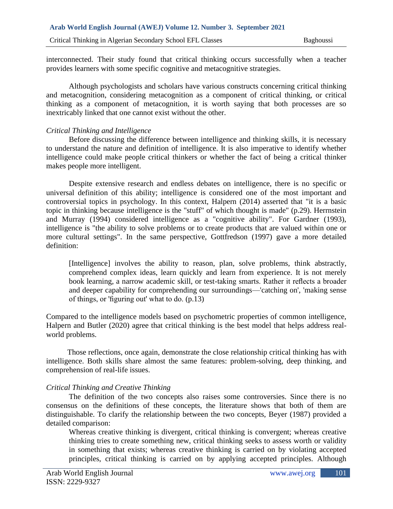interconnected. Their study found that critical thinking occurs successfully when a teacher provides learners with some specific cognitive and metacognitive strategies.

Although psychologists and scholars have various constructs concerning critical thinking and metacognition, considering metacognition as a component of critical thinking, or critical thinking as a component of metacognition, it is worth saying that both processes are so inextricably linked that one cannot exist without the other.

# *Critical Thinking and Intelligence*

Before discussing the difference between intelligence and thinking skills, it is necessary to understand the nature and definition of intelligence. It is also imperative to identify whether intelligence could make people critical thinkers or whether the fact of being a critical thinker makes people more intelligent.

Despite extensive research and endless debates on intelligence, there is no specific or universal definition of this ability; intelligence is considered one of the most important and controversial topics in psychology. In this context, Halpern (2014) asserted that "it is a basic topic in thinking because intelligence is the "stuff" of which thought is made" (p.29). Herrnstein and Murray (1994) considered intelligence as a "cognitive ability". For Gardner (1993), intelligence is "the ability to solve problems or to create products that are valued within one or more cultural settings". In the same perspective, Gottfredson (1997) gave a more detailed definition:

[Intelligence] involves the ability to reason, plan, solve problems, think abstractly, comprehend complex ideas, learn quickly and learn from experience. It is not merely book learning, a narrow academic skill, or test-taking smarts. Rather it reflects a broader and deeper capability for comprehending our surroundings—'catching on', 'making sense of things, or 'figuring out' what to do. (p.13)

Compared to the intelligence models based on psychometric properties of common intelligence, Halpern and Butler (2020) agree that critical thinking is the best model that helps address realworld problems.

 Those reflections, once again, demonstrate the close relationship critical thinking has with intelligence. Both skills share almost the same features: problem-solving, deep thinking, and comprehension of real-life issues.

# *Critical Thinking and Creative Thinking*

The definition of the two concepts also raises some controversies. Since there is no consensus on the definitions of these concepts, the literature shows that both of them are distinguishable. To clarify the relationship between the two concepts, Beyer (1987) provided a detailed comparison:

Whereas creative thinking is divergent, critical thinking is convergent; whereas creative thinking tries to create something new, critical thinking seeks to assess worth or validity in something that exists; whereas creative thinking is carried on by violating accepted principles, critical thinking is carried on by applying accepted principles. Although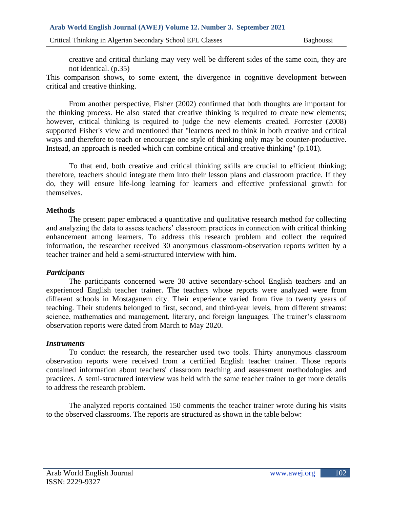creative and critical thinking may very well be different sides of the same coin, they are not identical. (p.35)

This comparison shows, to some extent, the divergence in cognitive development between critical and creative thinking.

From another perspective, Fisher (2002) confirmed that both thoughts are important for the thinking process. He also stated that creative thinking is required to create new elements; however, critical thinking is required to judge the new elements created. Forrester (2008) supported Fisher's view and mentioned that "learners need to think in both creative and critical ways and therefore to teach or encourage one style of thinking only may be counter-productive. Instead, an approach is needed which can combine critical and creative thinking" (p.101).

To that end, both creative and critical thinking skills are crucial to efficient thinking; therefore, teachers should integrate them into their lesson plans and classroom practice. If they do, they will ensure life-long learning for learners and effective professional growth for themselves.

# **Methods**

The present paper embraced a quantitative and qualitative research method for collecting and analyzing the data to assess teachers' classroom practices in connection with critical thinking enhancement among learners. To address this research problem and collect the required information, the researcher received 30 anonymous classroom-observation reports written by a teacher trainer and held a semi-structured interview with him.

# *Participants*

The participants concerned were 30 active secondary-school English teachers and an experienced English teacher trainer. The teachers whose reports were analyzed were from different schools in Mostaganem city. Their experience varied from five to twenty years of teaching. Their students belonged to first, second, and third-year levels, from different streams: science, mathematics and management, literary, and foreign languages. The trainer's classroom observation reports were dated from March to May 2020.

## *Instruments*

To conduct the research, the researcher used two tools. Thirty anonymous classroom observation reports were received from a certified English teacher trainer. Those reports contained information about teachers' classroom teaching and assessment methodologies and practices. A semi-structured interview was held with the same teacher trainer to get more details to address the research problem.

The analyzed reports contained 150 comments the teacher trainer wrote during his visits to the observed classrooms. The reports are structured as shown in the table below: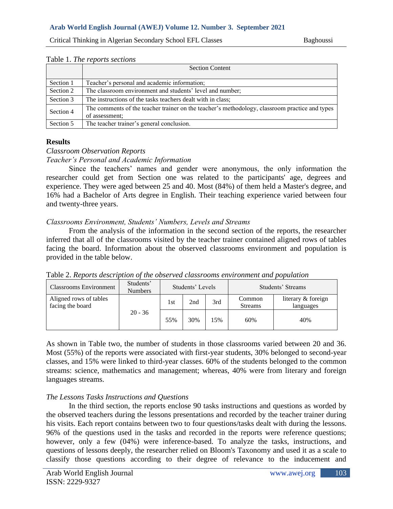|           | <b>Section Content</b>                                                                                           |
|-----------|------------------------------------------------------------------------------------------------------------------|
| Section 1 | Teacher's personal and academic information;                                                                     |
| Section 2 | The classroom environment and students' level and number;                                                        |
| Section 3 | The instructions of the tasks teachers dealt with in class;                                                      |
| Section 4 | The comments of the teacher trainer on the teacher's methodology, classroom practice and types<br>of assessment; |
| Section 5 | The teacher trainer's general conclusion.                                                                        |

#### Table 1. *The reports sections*

# **Results**

#### *Classroom Observation Reports*

#### *Teacher's Personal and Academic Information*

Since the teachers' names and gender were anonymous, the only information the researcher could get from Section one was related to the participants' age, degrees and experience. They were aged between 25 and 40. Most (84%) of them held a Master's degree, and 16% had a Bachelor of Arts degree in English. Their teaching experience varied between four and twenty-three years.

## *Classrooms Environment, Students' Numbers, Levels and Streams*

From the analysis of the information in the second section of the reports, the researcher inferred that all of the classrooms visited by the teacher trainer contained aligned rows of tables facing the board. Information about the observed classrooms environment and population is provided in the table below.

| Classrooms Environment                     | Students'<br><b>Numbers</b> | Students' Levels |     | Students' Streams |                          |                                 |
|--------------------------------------------|-----------------------------|------------------|-----|-------------------|--------------------------|---------------------------------|
| Aligned rows of tables<br>facing the board | $20 - 36$                   | 1st              | 2nd | 3rd               | Common<br><b>Streams</b> | literary & foreign<br>languages |
|                                            |                             | 55%              | 30% | 15%               | 60%                      | 40%                             |

Table 2. *Reports description of the observed classrooms environment and population*

As shown in Table two, the number of students in those classrooms varied between 20 and 36. Most (55%) of the reports were associated with first-year students, 30% belonged to second-year classes, and 15% were linked to third-year classes. 60% of the students belonged to the common streams: science, mathematics and management; whereas, 40% were from literary and foreign languages streams.

## *The Lessons Tasks Instructions and Questions*

In the third section, the reports enclose 90 tasks instructions and questions as worded by the observed teachers during the lessons presentations and recorded by the teacher trainer during his visits. Each report contains between two to four questions/tasks dealt with during the lessons. 96% of the questions used in the tasks and recorded in the reports were reference questions; however, only a few (04%) were inference-based. To analyze the tasks, instructions, and questions of lessons deeply, the researcher relied on Bloom's Taxonomy and used it as a scale to classify those questions according to their degree of relevance to the inducement and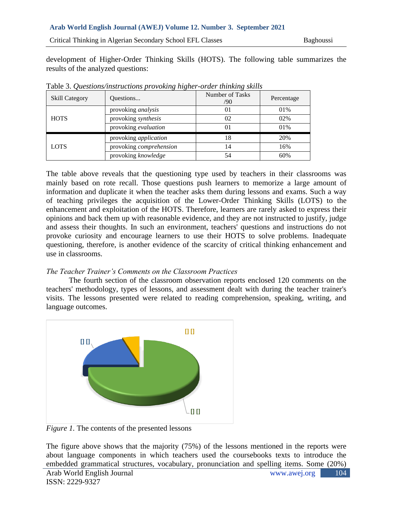## **Arab World English Journal (AWEJ) Volume 12. Number 3. September 2021**

Critical Thinking in Algerian Secondary School EFL Classes Baghoussi

development of Higher-Order Thinking Skills (HOTS). The following table summarizes the results of the analyzed questions:

| <b>Skill Category</b> | Questions                    | Number of Tasks<br>/90 | Percentage |
|-----------------------|------------------------------|------------------------|------------|
|                       | provoking <i>analysis</i>    | 01                     | 01%        |
| <b>HOTS</b>           | provoking synthesis          | 02                     | 02%        |
|                       | provoking evaluation         | 01                     | 01%        |
|                       | provoking <i>application</i> | 18                     | 20%        |
| <b>LOTS</b>           | provoking comprehension      | 14                     | 16%        |
|                       | provoking knowledge          | 54                     | 60%        |

Table 3. *Questions/instructions provoking higher-order thinking skills*

The table above reveals that the questioning type used by teachers in their classrooms was mainly based on rote recall. Those questions push learners to memorize a large amount of information and duplicate it when the teacher asks them during lessons and exams. Such a way of teaching privileges the acquisition of the Lower-Order Thinking Skills (LOTS) to the enhancement and exploitation of the HOTS. Therefore, learners are rarely asked to express their opinions and back them up with reasonable evidence, and they are not instructed to justify, judge and assess their thoughts. In such an environment, teachers' questions and instructions do not provoke curiosity and encourage learners to use their HOTS to solve problems. Inadequate questioning, therefore, is another evidence of the scarcity of critical thinking enhancement and use in classrooms.

## *The Teacher Trainer's Comments on the Classroom Practices*

The fourth section of the classroom observation reports enclosed 120 comments on the teachers' methodology, types of lessons, and assessment dealt with during the teacher trainer's visits. The lessons presented were related to reading comprehension, speaking, writing, and language outcomes.



*Figure 1.* The contents of the presented lessons

The figure above shows that the majority (75%) of the lessons mentioned in the reports were about language components in which teachers used the coursebooks texts to introduce the embedded grammatical structures, vocabulary, pronunciation and spelling items. Some (20%)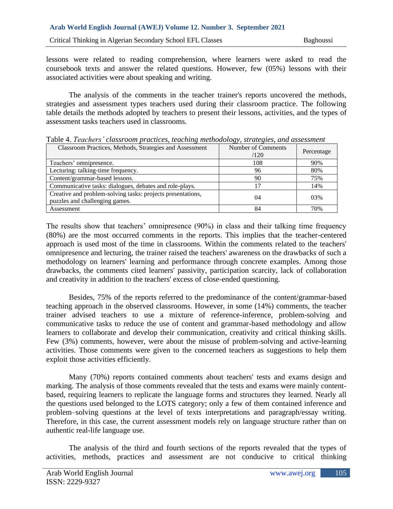lessons were related to reading comprehension, where learners were asked to read the coursebook texts and answer the related questions. However, few (05%) lessons with their associated activities were about speaking and writing.

The analysis of the comments in the teacher trainer's reports uncovered the methods, strategies and assessment types teachers used during their classroom practice. The following table details the methods adopted by teachers to present their lessons, activities, and the types of assessment tasks teachers used in classrooms.

| Classroom Practices, Methods, Strategies and Assessment                                       | Number of Comments<br>/120 | Percentage |
|-----------------------------------------------------------------------------------------------|----------------------------|------------|
| Teachers' omnipresence.                                                                       | 108                        | 90%        |
| Lecturing: talking-time frequency.                                                            | 96                         | 80%        |
| Content/grammar-based lessons.                                                                | 90                         | 75%        |
| Communicative tasks: dialogues, debates and role-plays.                                       |                            | 14%        |
| Creative and problem-solving tasks: projects presentations,<br>puzzles and challenging games. | 04                         | 03%        |
| Assessment                                                                                    | 84                         | 70%        |

Table 4. *Teachers' classroom practices, teaching methodology, strategies, and assessment*

The results show that teachers' omnipresence (90%) in class and their talking time frequency (80%) are the most occurred comments in the reports. This implies that the teacher-centered approach is used most of the time in classrooms. Within the comments related to the teachers' omnipresence and lecturing, the trainer raised the teachers' awareness on the drawbacks of such a methodology on learners' learning and performance through concrete examples. Among those drawbacks, the comments cited learners' passivity, participation scarcity, lack of collaboration and creativity in addition to the teachers' excess of close-ended questioning.

Besides, 75% of the reports referred to the predominance of the content/grammar-based teaching approach in the observed classrooms. However, in some (14%) comments, the teacher trainer advised teachers to use a mixture of reference-inference, problem-solving and communicative tasks to reduce the use of content and grammar-based methodology and allow learners to collaborate and develop their communication, creativity and critical thinking skills. Few (3%) comments, however, were about the misuse of problem-solving and active-learning activities. Those comments were given to the concerned teachers as suggestions to help them exploit those activities efficiently.

Many (70%) reports contained comments about teachers' tests and exams design and marking. The analysis of those comments revealed that the tests and exams were mainly contentbased, requiring learners to replicate the language forms and structures they learned. Nearly all the questions used belonged to the LOTS category; only a few of them contained inference and problem–solving questions at the level of texts interpretations and paragraph/essay writing. Therefore, in this case, the current assessment models rely on language structure rather than on authentic real-life language use.

The analysis of the third and fourth sections of the reports revealed that the types of activities, methods, practices and assessment are not conducive to critical thinking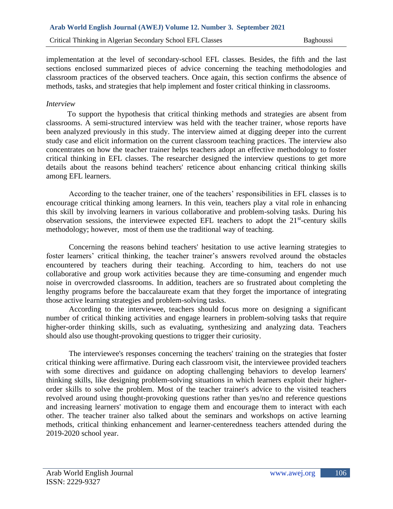implementation at the level of secondary-school EFL classes. Besides, the fifth and the last sections enclosed summarized pieces of advice concerning the teaching methodologies and classroom practices of the observed teachers. Once again, this section confirms the absence of methods, tasks, and strategies that help implement and foster critical thinking in classrooms.

## *Interview*

 To support the hypothesis that critical thinking methods and strategies are absent from classrooms. A semi-structured interview was held with the teacher trainer, whose reports have been analyzed previously in this study. The interview aimed at digging deeper into the current study case and elicit information on the current classroom teaching practices. The interview also concentrates on how the teacher trainer helps teachers adopt an effective methodology to foster critical thinking in EFL classes. The researcher designed the interview questions to get more details about the reasons behind teachers' reticence about enhancing critical thinking skills among EFL learners.

According to the teacher trainer, one of the teachers' responsibilities in EFL classes is to encourage critical thinking among learners. In this vein, teachers play a vital role in enhancing this skill by involving learners in various collaborative and problem-solving tasks. During his observation sessions, the interviewee expected EFL teachers to adopt the  $21<sup>st</sup>$ -century skills methodology; however, most of them use the traditional way of teaching.

Concerning the reasons behind teachers' hesitation to use active learning strategies to foster learners' critical thinking, the teacher trainer's answers revolved around the obstacles encountered by teachers during their teaching. According to him, teachers do not use collaborative and group work activities because they are time-consuming and engender much noise in overcrowded classrooms. In addition, teachers are so frustrated about completing the lengthy programs before the baccalaureate exam that they forget the importance of integrating those active learning strategies and problem-solving tasks.

According to the interviewee, teachers should focus more on designing a significant number of critical thinking activities and engage learners in problem-solving tasks that require higher-order thinking skills, such as evaluating, synthesizing and analyzing data. Teachers should also use thought-provoking questions to trigger their curiosity.

The interviewee's responses concerning the teachers' training on the strategies that foster critical thinking were affirmative. During each classroom visit, the interviewee provided teachers with some directives and guidance on adopting challenging behaviors to develop learners' thinking skills, like designing problem-solving situations in which learners exploit their higherorder skills to solve the problem. Most of the teacher trainer's advice to the visited teachers revolved around using thought-provoking questions rather than yes/no and reference questions and increasing learners' motivation to engage them and encourage them to interact with each other. The teacher trainer also talked about the seminars and workshops on active learning methods, critical thinking enhancement and learner-centeredness teachers attended during the 2019-2020 school year.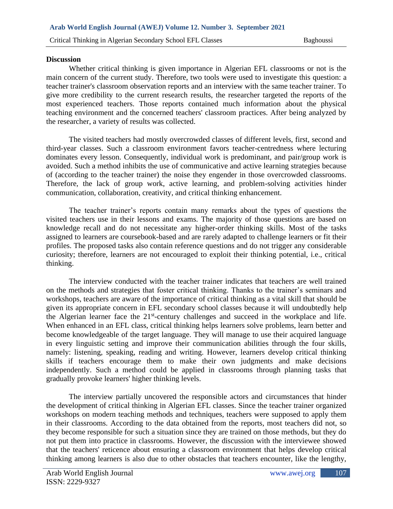#### **Discussion**

Whether critical thinking is given importance in Algerian EFL classrooms or not is the main concern of the current study. Therefore, two tools were used to investigate this question: a teacher trainer's classroom observation reports and an interview with the same teacher trainer. To give more credibility to the current research results, the researcher targeted the reports of the most experienced teachers. Those reports contained much information about the physical teaching environment and the concerned teachers' classroom practices. After being analyzed by the researcher, a variety of results was collected.

The visited teachers had mostly overcrowded classes of different levels, first, second and third-year classes. Such a classroom environment favors teacher-centredness where lecturing dominates every lesson. Consequently, individual work is predominant, and pair/group work is avoided. Such a method inhibits the use of communicative and active learning strategies because of (according to the teacher trainer) the noise they engender in those overcrowded classrooms. Therefore, the lack of group work, active learning, and problem-solving activities hinder communication, collaboration, creativity, and critical thinking enhancement.

The teacher trainer's reports contain many remarks about the types of questions the visited teachers use in their lessons and exams. The majority of those questions are based on knowledge recall and do not necessitate any higher-order thinking skills. Most of the tasks assigned to learners are coursebook-based and are rarely adapted to challenge learners or fit their profiles. The proposed tasks also contain reference questions and do not trigger any considerable curiosity; therefore, learners are not encouraged to exploit their thinking potential, i.e., critical thinking.

The interview conducted with the teacher trainer indicates that teachers are well trained on the methods and strategies that foster critical thinking. Thanks to the trainer's seminars and workshops, teachers are aware of the importance of critical thinking as a vital skill that should be given its appropriate concern in EFL secondary school classes because it will undoubtedly help the Algerian learner face the  $21<sup>st</sup>$ -century challenges and succeed in the workplace and life. When enhanced in an EFL class, critical thinking helps learners solve problems, learn better and become knowledgeable of the target language. They will manage to use their acquired language in every linguistic setting and improve their communication abilities through the four skills, namely: listening, speaking, reading and writing. However, learners develop critical thinking skills if teachers encourage them to make their own judgments and make decisions independently. Such a method could be applied in classrooms through planning tasks that gradually provoke learners' higher thinking levels.

The interview partially uncovered the responsible actors and circumstances that hinder the development of critical thinking in Algerian EFL classes. Since the teacher trainer organized workshops on modern teaching methods and techniques, teachers were supposed to apply them in their classrooms. According to the data obtained from the reports, most teachers did not, so they become responsible for such a situation since they are trained on those methods, but they do not put them into practice in classrooms. However, the discussion with the interviewee showed that the teachers' reticence about ensuring a classroom environment that helps develop critical thinking among learners is also due to other obstacles that teachers encounter, like the lengthy,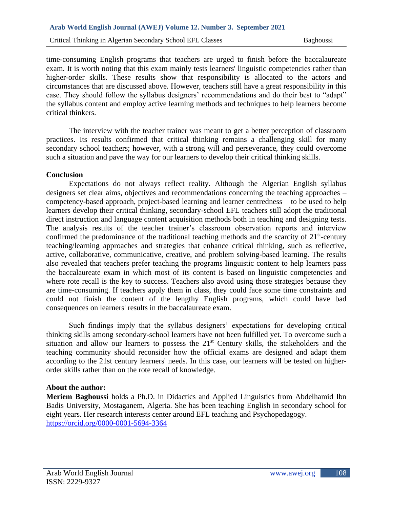time-consuming English programs that teachers are urged to finish before the baccalaureate exam. It is worth noting that this exam mainly tests learners' linguistic competencies rather than higher-order skills. These results show that responsibility is allocated to the actors and circumstances that are discussed above. However, teachers still have a great responsibility in this case. They should follow the syllabus designers' recommendations and do their best to "adapt" the syllabus content and employ active learning methods and techniques to help learners become critical thinkers.

The interview with the teacher trainer was meant to get a better perception of classroom practices. Its results confirmed that critical thinking remains a challenging skill for many secondary school teachers; however, with a strong will and perseverance, they could overcome such a situation and pave the way for our learners to develop their critical thinking skills.

## **Conclusion**

Expectations do not always reflect reality. Although the Algerian English syllabus designers set clear aims, objectives and recommendations concerning the teaching approaches – competency-based approach, project-based learning and learner centredness – to be used to help learners develop their critical thinking, secondary-school EFL teachers still adopt the traditional direct instruction and language content acquisition methods both in teaching and designing tests. The analysis results of the teacher trainer's classroom observation reports and interview confirmed the predominance of the traditional teaching methods and the scarcity of  $21<sup>st</sup>$ -century teaching/learning approaches and strategies that enhance critical thinking, such as reflective, active, collaborative, communicative, creative, and problem solving-based learning. The results also revealed that teachers prefer teaching the programs linguistic content to help learners pass the baccalaureate exam in which most of its content is based on linguistic competencies and where rote recall is the key to success. Teachers also avoid using those strategies because they are time-consuming. If teachers apply them in class, they could face some time constraints and could not finish the content of the lengthy English programs, which could have bad consequences on learners' results in the baccalaureate exam.

Such findings imply that the syllabus designers' expectations for developing critical thinking skills among secondary-school learners have not been fulfilled yet. To overcome such a situation and allow our learners to possess the  $21<sup>st</sup>$  Century skills, the stakeholders and the teaching community should reconsider how the official exams are designed and adapt them according to the 21st century learners' needs. In this case, our learners will be tested on higherorder skills rather than on the rote recall of knowledge.

#### **About the author:**

**Meriem Baghoussi** holds a Ph.D. in Didactics and Applied Linguistics from Abdelhamid Ibn Badis University, Mostaganem, Algeria. She has been teaching English in secondary school for eight years. Her research interests center around EFL teaching and Psychopedagogy. <https://orcid.org/0000-0001-5694-3364>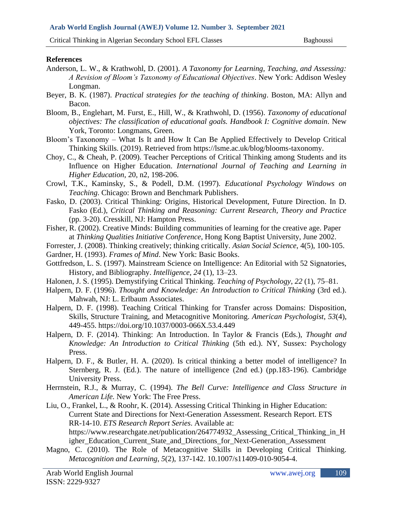# **References**

- Anderson, L. W., & Krathwohl, D. (2001). *A Taxonomy for Learning, Teaching, and Assessing: A Revision of Bloom's Taxonomy of Educational Objectives*. New York: Addison Wesley Longman.
- Beyer, B. K. (1987). *Practical strategies for the teaching of thinking*. Boston, MA: Allyn and Bacon.
- Bloom, B., Englehart, M. Furst, E., Hill, W., & Krathwohl, D. (1956). *Taxonomy of educational objectives: The classification of educational goals. Handbook I: Cognitive domain.* New York, Toronto: Longmans, Green.
- Bloom's Taxonomy What Is It and How It Can Be Applied Effectively to Develop Critical Thinking Skills. (2019). Retrieved from https://lsme.ac.uk/blog/blooms-taxonomy.
- Choy, C., & Cheah, P. (2009). Teacher Perceptions of Critical Thinking among Students and its Influence on Higher Education. *International Journal of Teaching and Learning in Higher Education*, 20, n2, 198-206.
- Crowl, T.K., Kaminsky, S., & Podell, D.M. (1997). *Educational Psychology Windows on Teaching*. Chicago: Brown and Benchmark Publishers.
- Fasko, D. (2003). Critical Thinking: Origins, Historical Development, Future Direction. In D. Fasko (Ed.), *Critical Thinking and Reasoning: Current Research, Theory and Practice*  (pp. 3-20). Cresskill, NJ: Hampton Press.
- Fisher, R. (2002). Creative Minds: Building communities of learning for the creative age. Paper at *Thinking Qualities Initiative Conference*, Hong Kong Baptist University, June 2002.
- Forrester, J. (2008). Thinking creatively; thinking critically. *Asian Social Science*, 4(5), 100-105.
- Gardner, H. (1993). *Frames of Mind*. New York: Basic Books.
- Gottfredson, L. S. (1997). Mainstream Science on Intelligence: An Editorial with 52 Signatories, History, and Bibliography. *Intelligence, 24* (1), 13–23.
- Halonen, J. S. (1995). Demystifying Critical Thinking. *Teaching of Psychology*, *22* (1), 75–81.
- Halpern, D. F. (1996). *Thought and Knowledge: An Introduction to Critical Thinking* (3rd ed.). Mahwah, NJ: L. Erlbaum Associates.
- Halpern, D. F. (1998). Teaching Critical Thinking for Transfer across Domains: Disposition, Skills, Structure Training, and Metacognitive Monitoring. *American Psychologist*, *53*(4), 449-455. https://doi.org/10.1037/0003-066X.53.4.449
- Halpern, D. F. (2014). Thinking: An Introduction. In Taylor & Francis (Eds.), *Thought and Knowledge: An Introduction to Critical Thinking* (5th ed.). NY, Sussex: Psychology Press.
- Halpern, D. F., & Butler, H. A. (2020). Is critical thinking a better model of intelligence? In Sternberg, R. J. (Ed.). The nature of intelligence (2nd ed.) (pp.183-196). Cambridge University Press.
- Herrnstein, R.J., & Murray, C. (1994). *The Bell Curve: Intelligence and Class Structure in American Life.* New York: The Free Press.
- Liu, O., Frankel, L., & Roohr, K. (2014). Assessing Critical Thinking in Higher Education: Current State and Directions for Next-Generation Assessment. Research Report. ETS RR-14-10. *ETS Research Report Series*. Available at: https://www.researchgate.net/publication/264774932\_Assessing\_Critical\_Thinking\_in\_H igher\_Education\_Current\_State\_and\_Directions\_for\_Next-Generation\_Assessment
- Magno, C. (2010). The Role of Metacognitive Skills in Developing Critical Thinking. *Metacognition and Learning*, *5*(2), 137-142. 10.1007/s11409-010-9054-4.